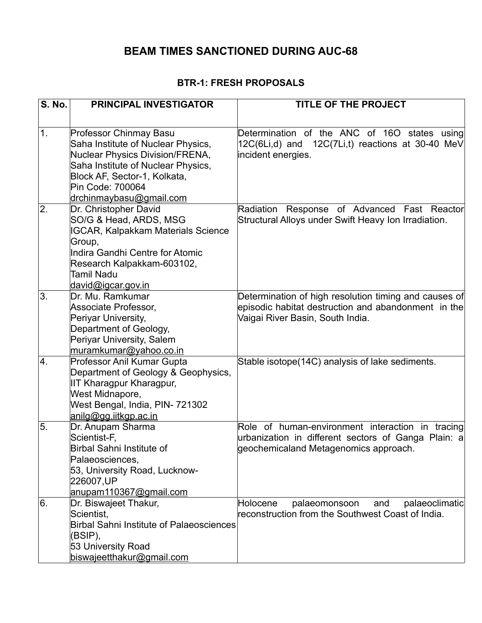# **BEAM TIMES SANCTIONED DURING AUC-68**

#### **BTR-1: FRESH PROPOSALS**

| <b>S. No.</b>    | <b>PRINCIPAL INVESTIGATOR</b>                                                                                 | TITLE OF THE PROJECT                                                                                                   |
|------------------|---------------------------------------------------------------------------------------------------------------|------------------------------------------------------------------------------------------------------------------------|
|                  |                                                                                                               |                                                                                                                        |
| 1.               | <b>Professor Chinmay Basu</b><br>Saha Institute of Nuclear Physics,<br><b>Nuclear Physics Division/FRENA,</b> | Determination of the ANC of 16O states using<br>12C(6Li,d) and 12C(7Li,t) reactions at 30-40 MeV<br>incident energies. |
|                  | Saha Institute of Nuclear Physics,<br>Block AF, Sector-1, Kolkata,<br>Pin Code: 700064                        |                                                                                                                        |
| 2.               | drchinmaybasu@gmail.com                                                                                       |                                                                                                                        |
|                  | Dr. Christopher David<br>SO/G & Head, ARDS, MSG<br><b>IGCAR, Kalpakkam Materials Science</b>                  | Radiation Response of Advanced Fast Reactor<br>Structural Alloys under Swift Heavy Ion Irradiation.                    |
|                  | Group,                                                                                                        |                                                                                                                        |
|                  | Indira Gandhi Centre for Atomic                                                                               |                                                                                                                        |
|                  | Research Kalpakkam-603102,                                                                                    |                                                                                                                        |
|                  | Tamil Nadu<br>david@igcar.gov.in                                                                              |                                                                                                                        |
| 3.               | Dr. Mu. Ramkumar                                                                                              | Determination of high resolution timing and causes of                                                                  |
|                  | Associate Professor,                                                                                          | episodic habitat destruction and abandonment in the                                                                    |
|                  | Periyar University,                                                                                           | Vaigai River Basin, South India.                                                                                       |
|                  | Department of Geology,                                                                                        |                                                                                                                        |
|                  | Periyar University, Salem                                                                                     |                                                                                                                        |
| $\overline{4}$ . | muramkumar@yahoo.co.in<br>Professor Anil Kumar Gupta                                                          | Stable isotope(14C) analysis of lake sediments.                                                                        |
|                  | Department of Geology & Geophysics,                                                                           |                                                                                                                        |
|                  | IIT Kharagpur Kharagpur,                                                                                      |                                                                                                                        |
|                  | West Midnapore,                                                                                               |                                                                                                                        |
|                  | West Bengal, India, PIN- 721302                                                                               |                                                                                                                        |
|                  | anilg@gg.iitkgp.ac.in                                                                                         |                                                                                                                        |
| 5.               | Dr. Anupam Sharma                                                                                             | Role of human-environment interaction in tracing                                                                       |
|                  | Scientist-F,                                                                                                  | urbanization in different sectors of Ganga Plain: a                                                                    |
|                  | Birbal Sahni Institute of                                                                                     | geochemicaland Metagenomics approach.                                                                                  |
|                  | Palaeosciences,<br>53, University Road, Lucknow-                                                              |                                                                                                                        |
|                  | 226007, UP                                                                                                    |                                                                                                                        |
|                  | anupam110367@gmail.com                                                                                        |                                                                                                                        |
| 6.               | Dr. Biswajeet Thakur,                                                                                         | Holocene<br>palaeomonsoon<br>palaeoclimatic<br>and                                                                     |
|                  | Scientist,                                                                                                    | reconstruction from the Southwest Coast of India.                                                                      |
|                  | <b>Birbal Sahni Institute of Palaeosciences</b>                                                               |                                                                                                                        |
|                  | (BSIP),                                                                                                       |                                                                                                                        |
|                  | 53 University Road                                                                                            |                                                                                                                        |
|                  | biswajeetthakur@gmail.com                                                                                     |                                                                                                                        |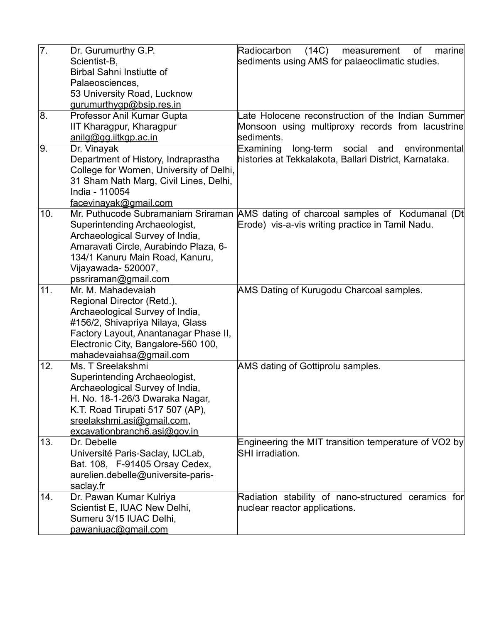| 7.  | Dr. Gurumurthy G.P.<br>Scientist-B,<br>Birbal Sahni Instiutte of<br>Palaeosciences,                                                                                                                                                | (14C)<br>Radiocarbon<br>measurement<br>of<br>marine<br>sediments using AMS for palaeoclimatic studies. |
|-----|------------------------------------------------------------------------------------------------------------------------------------------------------------------------------------------------------------------------------------|--------------------------------------------------------------------------------------------------------|
|     | 53 University Road, Lucknow                                                                                                                                                                                                        |                                                                                                        |
|     | gurumurthygp@bsip.res.in                                                                                                                                                                                                           |                                                                                                        |
| 8.  | Professor Anil Kumar Gupta                                                                                                                                                                                                         | Late Holocene reconstruction of the Indian Summer                                                      |
|     | IIT Kharagpur, Kharagpur                                                                                                                                                                                                           | Monsoon using multiproxy records from lacustrine                                                       |
|     | anilg@gg.iitkgp.ac.in                                                                                                                                                                                                              | sediments.                                                                                             |
| 9.  | Dr. Vinayak                                                                                                                                                                                                                        | Examining<br>social<br>long-term<br>and<br>environmental                                               |
|     | Department of History, Indraprastha<br>College for Women, University of Delhi,<br>31 Sham Nath Marg, Civil Lines, Delhi,<br>India - 110054<br><u>facevinayak@gmail.com</u>                                                         | histories at Tekkalakota, Ballari District, Karnataka.                                                 |
| 10. | Mr. Puthucode Subramaniam Sriraman                                                                                                                                                                                                 | AMS dating of charcoal samples of Kodumanal (Dt                                                        |
|     | Superintending Archaeologist,<br>Archaeological Survey of India,<br>Amaravati Circle, Aurabindo Plaza, 6-<br>134/1 Kanuru Main Road, Kanuru,<br>Vijayawada- 520007,                                                                | Erode) vis-a-vis writing practice in Tamil Nadu.                                                       |
|     | pssriraman@gmail.com                                                                                                                                                                                                               |                                                                                                        |
| 11. | Mr. M. Mahadevaiah<br>Regional Director (Retd.),<br>Archaeological Survey of India,<br>#156/2, Shivapriya Nilaya, Glass<br>Factory Layout, Anantanagar Phase II,<br>Electronic City, Bangalore-560 100,<br>mahadevaiahsa@gmail.com | AMS Dating of Kurugodu Charcoal samples.                                                               |
| 12. | Ms. T Sreelakshmi<br>Superintending Archaeologist,<br>Archaeological Survey of India,<br>H. No. 18-1-26/3 Dwaraka Nagar,<br>K.T. Road Tirupati 517 507 (AP),<br>sreelakshmi.asi@gmail.com,<br>excavationbranch6.asi@gov.in         | AMS dating of Gottiprolu samples.                                                                      |
| 13. | Dr. Debelle<br>Université Paris-Saclay, IJCLab,<br>Bat. 108, F-91405 Orsay Cedex,<br>aurelien.debelle@universite-paris-<br><u>saclay.fr</u>                                                                                        | Engineering the MIT transition temperature of VO2 by<br><b>SHI</b> irradiation.                        |
| 14. | Dr. Pawan Kumar Kulriya<br>Scientist E, IUAC New Delhi,<br>Sumeru 3/15 IUAC Delhi,<br>pawaniuac@gmail.com                                                                                                                          | Radiation stability of nano-structured ceramics for<br>nuclear reactor applications.                   |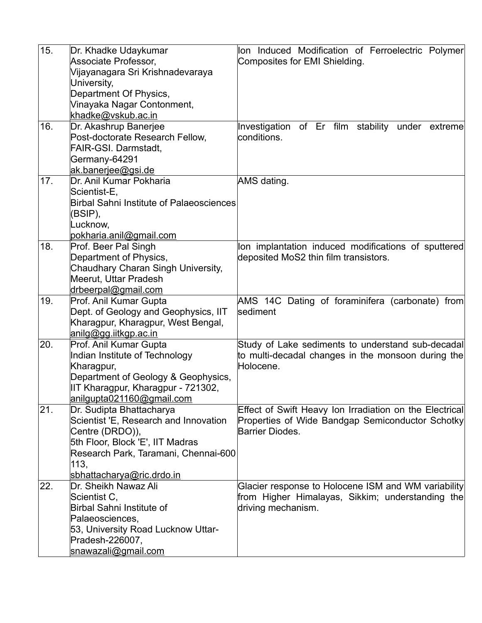| 15. | Dr. Khadke Udaykumar                     | lon Induced Modification of Ferroelectric Polymer       |
|-----|------------------------------------------|---------------------------------------------------------|
|     | Associate Professor,                     | Composites for EMI Shielding.                           |
|     | Vijayanagara Sri Krishnadevaraya         |                                                         |
|     | University,                              |                                                         |
|     | Department Of Physics,                   |                                                         |
|     | Vinayaka Nagar Contonment,               |                                                         |
|     | khadke@vskub.ac.in                       |                                                         |
| 16. | Dr. Akashrup Banerjee                    | Investigation of Er film stability under extreme        |
|     | Post-doctorate Research Fellow,          | conditions.                                             |
|     | FAIR-GSI. Darmstadt,                     |                                                         |
|     | Germany-64291                            |                                                         |
|     | ak.banerjee@gsi.de                       |                                                         |
| 17. | Dr. Anil Kumar Pokharia                  | AMS dating.                                             |
|     | Scientist-E,                             |                                                         |
|     | Birbal Sahni Institute of Palaeosciences |                                                         |
|     | (BSIP),                                  |                                                         |
|     | Lucknow,                                 |                                                         |
|     | pokharia.anil@gmail.com                  |                                                         |
| 18. | Prof. Beer Pal Singh                     | lon implantation induced modifications of sputtered     |
|     | Department of Physics,                   | deposited MoS2 thin film transistors.                   |
|     | Chaudhary Charan Singh University,       |                                                         |
|     | Meerut, Uttar Pradesh                    |                                                         |
|     | drbeerpal@gmail.com                      |                                                         |
| 19. | Prof. Anil Kumar Gupta                   | AMS 14C Dating of foraminifera (carbonate) from         |
|     | Dept. of Geology and Geophysics, IIT     | sediment                                                |
|     | Kharagpur, Kharagpur, West Bengal,       |                                                         |
|     | anilg@gg.iitkgp.ac.in                    |                                                         |
| 20. | Prof. Anil Kumar Gupta                   | Study of Lake sediments to understand sub-decadal       |
|     | Indian Institute of Technology           | to multi-decadal changes in the monsoon during the      |
|     | Kharagpur,                               | Holocene.                                               |
|     | Department of Geology & Geophysics,      |                                                         |
|     | IIT Kharagpur, Kharagpur - 721302,       |                                                         |
|     | anilgupta021160@gmail.com                |                                                         |
| 21. | Dr. Sudipta Bhattacharya                 | Effect of Swift Heavy Ion Irradiation on the Electrical |
|     | Scientist 'E, Research and Innovation    | Properties of Wide Bandgap Semiconductor Schotky        |
|     | Centre (DRDO)),                          | Barrier Diodes.                                         |
|     | 5th Floor, Block 'E', IIT Madras         |                                                         |
|     | Research Park, Taramani, Chennai-600     |                                                         |
|     | 113,                                     |                                                         |
|     | sbhattacharya@ric.drdo.in                |                                                         |
| 22. | Dr. Sheikh Nawaz Ali                     | Glacier response to Holocene ISM and WM variability     |
|     | Scientist C,                             | from Higher Himalayas, Sikkim; understanding the        |
|     | Birbal Sahni Institute of                | driving mechanism.                                      |
|     | Palaeosciences,                          |                                                         |
|     | 53, University Road Lucknow Uttar-       |                                                         |
|     | Pradesh-226007,                          |                                                         |
|     | snawazali@gmail.com                      |                                                         |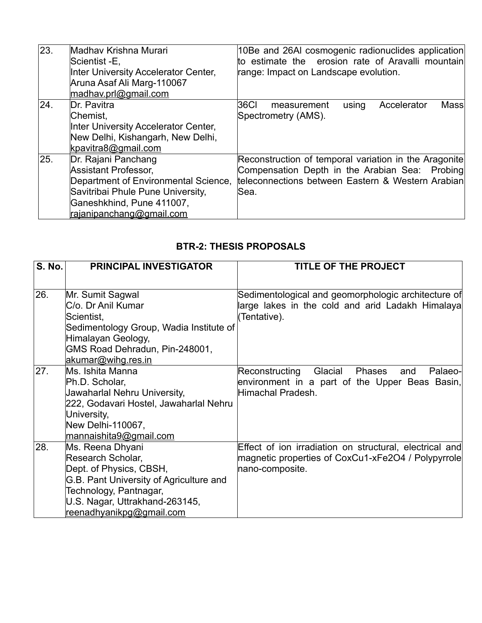| 23. | Madhav Krishna Murari<br>Scientist -E,<br>Inter University Accelerator Center,<br>Aruna Asaf Ali Marg-110067<br>madhav.prl@gmail.com                                                     | 10Be and 26AI cosmogenic radionuclides application<br>to estimate the erosion rate of Aravalli mountain<br>range: Impact on Landscape evolution.                      |
|-----|------------------------------------------------------------------------------------------------------------------------------------------------------------------------------------------|-----------------------------------------------------------------------------------------------------------------------------------------------------------------------|
| 24. | Dr. Pavitra<br>Chemist,<br>Inter University Accelerator Center,<br>New Delhi, Kishangarh, New Delhi,<br>kpavitra8@gmail.com                                                              | 36CI<br>Accelerator<br>Mass<br>using<br>measurement<br>Spectrometry (AMS).                                                                                            |
| 25. | Dr. Rajani Panchang<br><b>Assistant Professor,</b><br>Department of Environmental Science,<br>Savitribai Phule Pune University,<br>Ganeshkhind, Pune 411007,<br>rajanipanchang@gmail.com | Reconstruction of temporal variation in the Aragonite<br>Compensation Depth in the Arabian Sea: Probing<br>teleconnections between Eastern & Western Arabian<br>lSea. |

# **BTR-2: THESIS PROPOSALS**

| <b>S. No.</b> | <b>PRINCIPAL INVESTIGATOR</b>                                                                                 | <b>TITLE OF THE PROJECT</b>                                                                                                      |
|---------------|---------------------------------------------------------------------------------------------------------------|----------------------------------------------------------------------------------------------------------------------------------|
| 26.           | Mr. Sumit Sagwal<br>C/o. Dr Anil Kumar                                                                        | Sedimentological and geomorphologic architecture of<br>large lakes in the cold and arid Ladakh Himalaya                          |
|               | Scientist,<br>Sedimentology Group, Wadia Institute of<br>Himalayan Geology,<br>GMS Road Dehradun, Pin-248001, | (Tentative).                                                                                                                     |
| 27.           | akumar@wihg.res.in<br>Ms. Ishita Manna                                                                        | Glacial<br>Reconstructing<br>Phases<br>Palaeo-<br>and                                                                            |
|               | Ph.D. Scholar,<br>Jawaharlal Nehru University,<br>222, Godavari Hostel, Jawaharlal Nehru<br>University,       | environment in a part of the Upper Beas Basin,<br>Himachal Pradesh.                                                              |
|               | New Delhi-110067,<br>mannaishita9@gmail.com                                                                   |                                                                                                                                  |
| 28.           | Ms. Reena Dhyani<br>Research Scholar,<br>Dept. of Physics, CBSH,<br>G.B. Pant University of Agriculture and   | Effect of ion irradiation on structural, electrical and<br>magnetic properties of CoxCu1-xFe2O4 / Polypyrrole<br>nano-composite. |
|               | Technology, Pantnagar,<br>U.S. Nagar, Uttrakhand-263145,<br>reenadhyanikpg@gmail.com                          |                                                                                                                                  |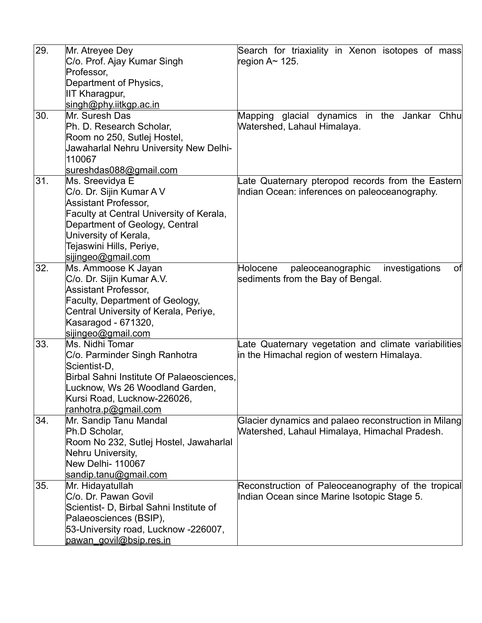| 29. | Mr. Atreyee Dey                           | Search for triaxiality in Xenon isotopes of mass      |
|-----|-------------------------------------------|-------------------------------------------------------|
|     | C/o. Prof. Ajay Kumar Singh               | region A $\sim$ 125.                                  |
|     | Professor,                                |                                                       |
|     | Department of Physics,                    |                                                       |
|     | IIT Kharagpur,                            |                                                       |
|     | singh@phy.iitkgp.ac.in                    |                                                       |
| 30. | Mr. Suresh Das                            | Mapping glacial dynamics in the Jankar Chhu           |
|     | Ph. D. Research Scholar,                  | Watershed, Lahaul Himalaya.                           |
|     | Room no 250, Sutlej Hostel,               |                                                       |
|     | Jawaharlal Nehru University New Delhi-    |                                                       |
|     | 110067                                    |                                                       |
|     | sureshdas088@gmail.com                    |                                                       |
| 31. | Ms. Sreevidya E                           | Late Quaternary pteropod records from the Eastern     |
|     | C/o. Dr. Sijin Kumar A V                  | Indian Ocean: inferences on paleoceanography.         |
|     | <b>Assistant Professor,</b>               |                                                       |
|     | Faculty at Central University of Kerala,  |                                                       |
|     | Department of Geology, Central            |                                                       |
|     | University of Kerala,                     |                                                       |
|     | Tejaswini Hills, Periye,                  |                                                       |
|     | sijingeo@gmail.com                        |                                                       |
| 32. | Ms. Ammoose K Jayan                       | paleoceanographic<br>investigations<br>of<br>Holocene |
|     | C/o. Dr. Sijin Kumar A.V.                 | sediments from the Bay of Bengal.                     |
|     | <b>Assistant Professor,</b>               |                                                       |
|     | Faculty, Department of Geology,           |                                                       |
|     | Central University of Kerala, Periye,     |                                                       |
|     | Kasaragod - 671320,                       |                                                       |
|     | sijingeo@gmail.com                        |                                                       |
| 33. | Ms. Nidhi Tomar                           | Late Quaternary vegetation and climate variabilities  |
|     | C/o. Parminder Singh Ranhotra             | in the Himachal region of western Himalaya.           |
|     | Scientist-D,                              |                                                       |
|     | Birbal Sahni Institute Of Palaeosciences, |                                                       |
|     | Lucknow, Ws 26 Woodland Garden,           |                                                       |
|     | Kursi Road, Lucknow-226026,               |                                                       |
|     | ranhotra.p@gmail.com                      |                                                       |
| 34. | Mr. Sandip Tanu Mandal                    | Glacier dynamics and palaeo reconstruction in Milang  |
|     | Ph.D Scholar,                             | Watershed, Lahaul Himalaya, Himachal Pradesh.         |
|     | Room No 232, Sutlej Hostel, Jawaharlal    |                                                       |
|     | Nehru University,                         |                                                       |
|     | New Delhi- 110067                         |                                                       |
|     | sandip.tanu@gmail.com                     |                                                       |
| 35. | Mr. Hidayatullah                          | Reconstruction of Paleoceanography of the tropical    |
|     | C/o. Dr. Pawan Govil                      | Indian Ocean since Marine Isotopic Stage 5.           |
|     | Scientist- D, Birbal Sahni Institute of   |                                                       |
|     | Palaeosciences (BSIP),                    |                                                       |
|     | 53-University road, Lucknow -226007,      |                                                       |
|     | pawan govil@bsip.res.in                   |                                                       |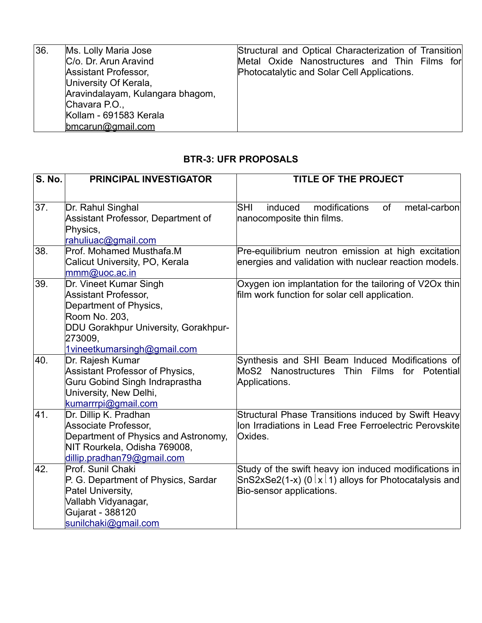| 36. | Ms. Lolly Maria Jose             | Structural and Optical Characterization of Transition |
|-----|----------------------------------|-------------------------------------------------------|
|     | C/o. Dr. Arun Aravind            | Metal Oxide Nanostructures and Thin Films for         |
|     | <b>Assistant Professor,</b>      | Photocatalytic and Solar Cell Applications.           |
|     | University Of Kerala,            |                                                       |
|     | Aravindalayam, Kulangara bhagom, |                                                       |
|     | Chavara P.O.,                    |                                                       |
|     | Kollam - 691583 Kerala           |                                                       |
|     | $b$ mcarun@gmail.com             |                                                       |

### **BTR-3: UFR PROPOSALS**

| <b>S. No.</b> | <b>PRINCIPAL INVESTIGATOR</b>                                                                                                                                                      | <b>TITLE OF THE PROJECT</b>                                                                                                                                     |
|---------------|------------------------------------------------------------------------------------------------------------------------------------------------------------------------------------|-----------------------------------------------------------------------------------------------------------------------------------------------------------------|
| 37.           | Dr. Rahul Singhal<br>Assistant Professor, Department of<br>Physics,<br>rahuliuac@gmail.com                                                                                         | ISHI<br>induced<br>modifications<br>of<br>metal-carbon<br>nanocomposite thin films.                                                                             |
| 38.           | Prof. Mohamed Musthafa.M<br>Calicut University, PO, Kerala<br>mmm@uoc.ac.in                                                                                                        | Pre-equilibrium neutron emission at high excitation<br>energies and validation with nuclear reaction models.                                                    |
| 39.           | Dr. Vineet Kumar Singh<br><b>Assistant Professor,</b><br>Department of Physics,<br>Room No. 203,<br>DDU Gorakhpur University, Gorakhpur-<br>273009,<br>1vineetkumarsingh@gmail.com | Oxygen ion implantation for the tailoring of V2Ox thin<br>film work function for solar cell application.                                                        |
| 40.           | Dr. Rajesh Kumar<br>Assistant Professor of Physics,<br><b>Guru Gobind Singh Indraprastha</b><br>University, New Delhi,<br>kumarrrpi@gmail.com                                      | Synthesis and SHI Beam Induced Modifications of<br>MoS2 Nanostructures Thin Films for Potential<br>Applications.                                                |
| 41.           | Dr. Dillip K. Pradhan<br>Associate Professor,<br>Department of Physics and Astronomy,<br>NIT Rourkela, Odisha 769008,<br>dillip.pradhan79@gmail.com                                | Structural Phase Transitions induced by Swift Heavy<br>Ion Irradiations in Lead Free Ferroelectric Perovskite<br>Oxides.                                        |
| 42.           | Prof. Sunil Chaki<br>P. G. Department of Physics, Sardar<br>Patel University,<br>Vallabh Vidyanagar,<br>Gujarat - 388120<br>sunilchaki@gmail.com                                   | Study of the swift heavy ion induced modifications in<br>$\textsf{SnS2xSe2(1-x)}$ (0 $\textsf{Ix11)}$ alloys for Photocatalysis and<br>Bio-sensor applications. |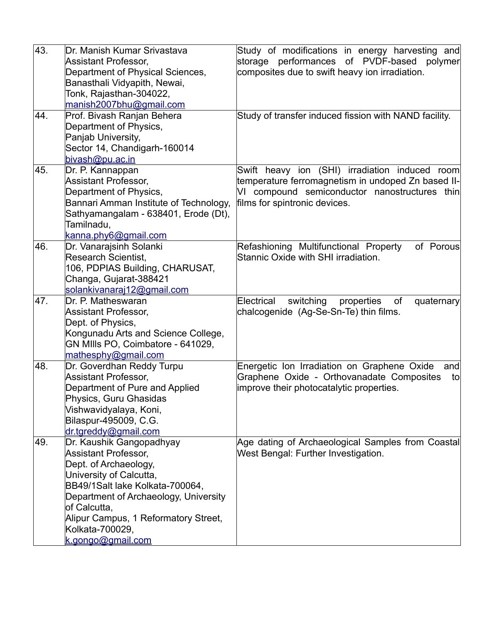| 43. | Dr. Manish Kumar Srivastava<br>Assistant Professor,              | Study of modifications in energy harvesting and<br>storage performances of PVDF-based<br>polymer |
|-----|------------------------------------------------------------------|--------------------------------------------------------------------------------------------------|
|     | Department of Physical Sciences,<br>Banasthali Vidyapith, Newai, | composites due to swift heavy ion irradiation.                                                   |
|     | Tonk, Rajasthan-304022,                                          |                                                                                                  |
|     | manish2007bhu@gmail.com                                          |                                                                                                  |
| 44. | Prof. Bivash Ranjan Behera                                       | Study of transfer induced fission with NAND facility.                                            |
|     | Department of Physics,                                           |                                                                                                  |
|     | Panjab University,                                               |                                                                                                  |
|     | Sector 14, Chandigarh-160014                                     |                                                                                                  |
|     | bivash@pu.ac.in                                                  |                                                                                                  |
| 45. | Dr. P. Kannappan                                                 | Swift heavy ion (SHI) irradiation induced room                                                   |
|     | <b>Assistant Professor,</b>                                      | temperature ferromagnetism in undoped Zn based II-                                               |
|     | Department of Physics,                                           | VI compound semiconductor nanostructures thin                                                    |
|     | Bannari Amman Institute of Technology,                           | films for spintronic devices.                                                                    |
|     | Sathyamangalam - 638401, Erode (Dt),                             |                                                                                                  |
|     | Tamilnadu,                                                       |                                                                                                  |
|     | kanna.phy6@gmail.com                                             |                                                                                                  |
| 46. | Dr. Vanarajsinh Solanki                                          | Refashioning Multifunctional Property<br>of Porous                                               |
|     | <b>Research Scientist,</b>                                       | Stannic Oxide with SHI irradiation.                                                              |
|     | 106, PDPIAS Building, CHARUSAT,                                  |                                                                                                  |
|     | Changa, Gujarat-388421                                           |                                                                                                  |
| 47. | solankivanaraj12@gmail.com<br>Dr. P. Matheswaran                 | of<br>Electrical                                                                                 |
|     | Assistant Professor,                                             | switching<br>properties<br>quaternary<br>chalcogenide (Ag-Se-Sn-Te) thin films.                  |
|     | Dept. of Physics,                                                |                                                                                                  |
|     | Kongunadu Arts and Science College,                              |                                                                                                  |
|     | GN MIIIs PO, Coimbatore - 641029,                                |                                                                                                  |
|     | mathesphy@gmail.com                                              |                                                                                                  |
| 48. | Dr. Goverdhan Reddy Turpu                                        | Energetic Ion Irradiation on Graphene Oxide<br>and                                               |
|     | <b>Assistant Professor,</b>                                      | Graphene Oxide - Orthovanadate Composites<br>to                                                  |
|     | Department of Pure and Applied                                   | improve their photocatalytic properties.                                                         |
|     | Physics, Guru Ghasidas                                           |                                                                                                  |
|     | Vishwavidyalaya, Koni,                                           |                                                                                                  |
|     | Bilaspur-495009, C.G.                                            |                                                                                                  |
|     | dr.tgreddy@gmail.com                                             |                                                                                                  |
| 49. | Dr. Kaushik Gangopadhyay                                         | Age dating of Archaeological Samples from Coastal                                                |
|     | Assistant Professor,                                             | West Bengal: Further Investigation.                                                              |
|     | Dept. of Archaeology,                                            |                                                                                                  |
|     | University of Calcutta,                                          |                                                                                                  |
|     | BB49/1Salt lake Kolkata-700064,                                  |                                                                                                  |
|     | Department of Archaeology, University                            |                                                                                                  |
|     | of Calcutta,                                                     |                                                                                                  |
|     | Alipur Campus, 1 Reformatory Street,                             |                                                                                                  |
|     | Kolkata-700029,                                                  |                                                                                                  |
|     | k.gongo@gmail.com                                                |                                                                                                  |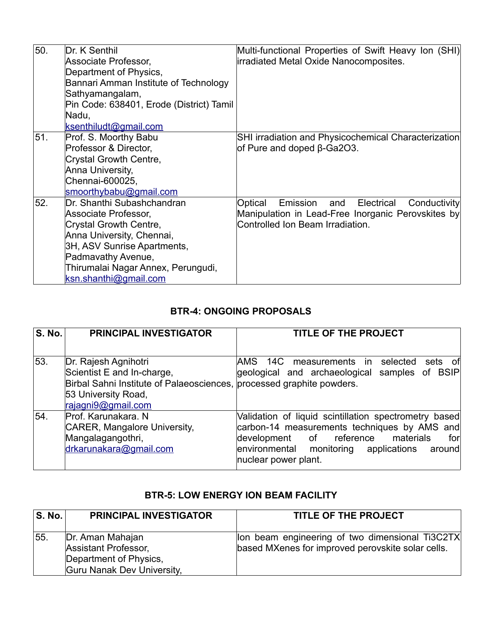| 50. | Dr. K Senthil<br>Associate Professor,<br>Department of Physics,<br>Bannari Amman Institute of Technology<br>Sathyamangalam,<br>Pin Code: 638401, Erode (District) Tamil<br>Nadu,<br>ksenthiludt@gmail.com                     | Multi-functional Properties of Swift Heavy Ion (SHI)<br>irradiated Metal Oxide Nanocomposites.                                                     |
|-----|-------------------------------------------------------------------------------------------------------------------------------------------------------------------------------------------------------------------------------|----------------------------------------------------------------------------------------------------------------------------------------------------|
| 51. | Prof. S. Moorthy Babu<br>Professor & Director,<br>Crystal Growth Centre,<br>Anna University,<br>Chennai-600025,<br>smoorthybabu@gmail.com                                                                                     | <b>SHI irradiation and Physicochemical Characterization</b><br>of Pure and doped $\beta$ -Ga2O3.                                                   |
| 52. | Dr. Shanthi Subashchandran<br>Associate Professor,<br>Crystal Growth Centre,<br>Anna University, Chennai,<br>3H, ASV Sunrise Apartments,<br>Padmavathy Avenue,<br>Thirumalai Nagar Annex, Perungudi,<br>ksn.shanthi@gmail.com | Optical<br>and<br>Electrical<br>Emission<br>Conductivity<br>Manipulation in Lead-Free Inorganic Perovskites by<br>Controlled Ion Beam Irradiation. |

### **BTR-4: ONGOING PROPOSALS**

| <b>S. No.</b> | <b>PRINCIPAL INVESTIGATOR</b>                                                                                                                                            | TITLE OF THE PROJECT                                                                                                                                                                                                              |
|---------------|--------------------------------------------------------------------------------------------------------------------------------------------------------------------------|-----------------------------------------------------------------------------------------------------------------------------------------------------------------------------------------------------------------------------------|
| 53.           | Dr. Rajesh Agnihotri<br>Scientist E and In-charge,<br>Birbal Sahni Institute of Palaeosciences, processed graphite powders.<br>53 University Road,<br>rajagni9@gmail.com | AMS 14C measurements in<br>selected<br>sets of<br>geological and archaeological samples of BSIP                                                                                                                                   |
| 54.           | Prof. Karunakara. N<br>CARER, Mangalore University,<br>Mangalagangothri,<br>drkarunakara@gmail.com                                                                       | Validation of liquid scintillation spectrometry based<br>carbon-14 measurements techniques by AMS and<br>materials<br>development of reference<br>for<br>environmental monitoring applications<br>∣around<br>nuclear power plant. |

### **BTR-5: LOW ENERGY ION BEAM FACILITY**

| <b>S. No.</b> | <b>PRINCIPAL INVESTIGATOR</b>                                                                    | <b>TITLE OF THE PROJECT</b>                                                                          |
|---------------|--------------------------------------------------------------------------------------------------|------------------------------------------------------------------------------------------------------|
| 55.           | Dr. Aman Mahajan<br>Assistant Professor,<br>Department of Physics,<br>Guru Nanak Dev University, | lon beam engineering of two dimensional Ti3C2TX<br>based MXenes for improved perovskite solar cells. |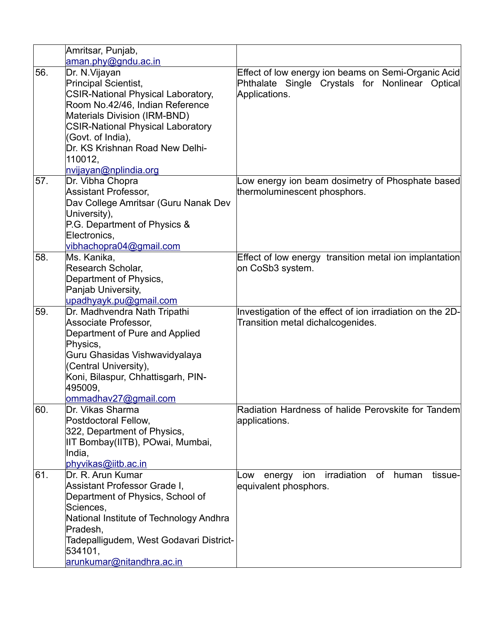|     | Amritsar, Punjab,                         |                                                               |
|-----|-------------------------------------------|---------------------------------------------------------------|
|     | aman.phy@gndu.ac.in                       |                                                               |
| 56. | Dr. N. Vijayan                            | Effect of low energy ion beams on Semi-Organic Acid           |
|     | Principal Scientist,                      | Phthalate Single Crystals for Nonlinear Optical               |
|     | <b>CSIR-National Physical Laboratory,</b> | Applications.                                                 |
|     | Room No.42/46, Indian Reference           |                                                               |
|     | <b>Materials Division (IRM-BND)</b>       |                                                               |
|     | <b>CSIR-National Physical Laboratory</b>  |                                                               |
|     | (Govt. of India),                         |                                                               |
|     | Dr. KS Krishnan Road New Delhi-           |                                                               |
|     | 110012.                                   |                                                               |
|     | nvijayan@nplindia.org                     |                                                               |
| 57. | Dr. Vibha Chopra                          | Low energy ion beam dosimetry of Phosphate based              |
|     | <b>Assistant Professor,</b>               | thermoluminescent phosphors.                                  |
|     | Dav College Amritsar (Guru Nanak Dev      |                                                               |
|     | University),                              |                                                               |
|     | P.G. Department of Physics &              |                                                               |
|     | Electronics,<br>vibhachopra04@gmail.com   |                                                               |
| 58. | Ms. Kanika,                               | Effect of low energy transition metal ion implantation        |
|     | Research Scholar,                         | on CoSb3 system.                                              |
|     | Department of Physics,                    |                                                               |
|     | Panjab University,                        |                                                               |
|     | upadhyayk.pu@gmail.com                    |                                                               |
| 59. | Dr. Madhvendra Nath Tripathi              | Investigation of the effect of ion irradiation on the 2D-     |
|     | Associate Professor,                      | Transition metal dichalcogenides.                             |
|     | Department of Pure and Applied            |                                                               |
|     | Physics,                                  |                                                               |
|     | Guru Ghasidas Vishwavidyalaya             |                                                               |
|     | (Central University),                     |                                                               |
|     | Koni, Bilaspur, Chhattisgarh, PIN-        |                                                               |
|     | 495009,                                   |                                                               |
|     | ommadhav27@gmail.com                      | Radiation Hardness of halide Perovskite for Tandem            |
| 60. | Dr. Vikas Sharma<br>Postdoctoral Fellow,  |                                                               |
|     | 322, Department of Physics,               | applications.                                                 |
|     | IIT Bombay(IITB), POwai, Mumbai,          |                                                               |
|     | India,                                    |                                                               |
|     | phyvikas@iitb.ac.in                       |                                                               |
| 61. | Dr. R. Arun Kumar                         | irradiation<br>tissue-<br>of<br>human<br>Low<br>energy<br>ion |
|     | Assistant Professor Grade I,              | equivalent phosphors.                                         |
|     | Department of Physics, School of          |                                                               |
|     | Sciences,                                 |                                                               |
|     | National Institute of Technology Andhra   |                                                               |
|     | Pradesh,                                  |                                                               |
|     | Tadepalligudem, West Godavari District-   |                                                               |
|     |                                           |                                                               |
|     | 534101,<br>arunkumar@nitandhra.ac.in      |                                                               |